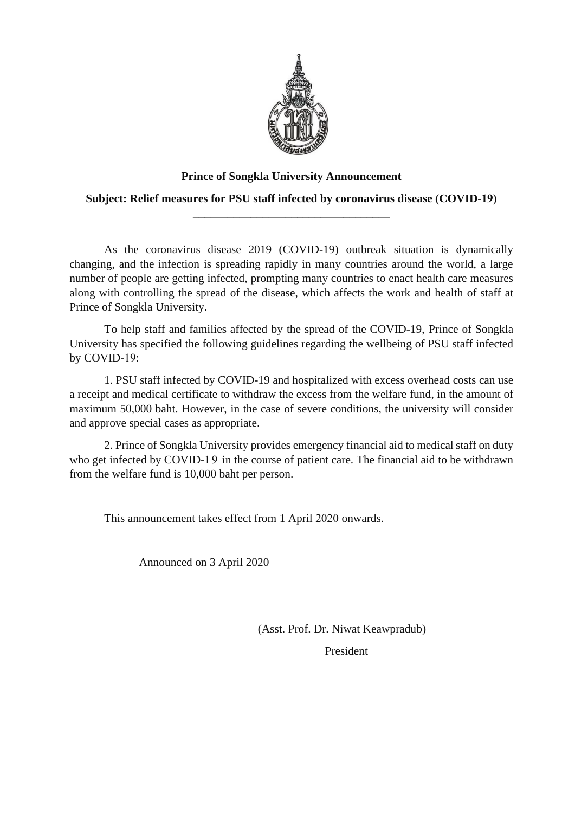

## **Prince of Songkla University Announcement**

**Subject: Relief measures for PSU staff infected by coronavirus disease (COVID-19) \_\_\_\_\_\_\_\_\_\_\_\_\_\_\_\_\_\_\_\_\_\_\_\_\_\_\_\_\_\_\_\_\_\_**

As the coronavirus disease 2019 (COVID-19) outbreak situation is dynamically changing, and the infection is spreading rapidly in many countries around the world, a large number of people are getting infected, prompting many countries to enact health care measures along with controlling the spread of the disease, which affects the work and health of staff at Prince of Songkla University.

To help staff and families affected by the spread of the COVID-19, Prince of Songkla University has specified the following guidelines regarding the wellbeing of PSU staff infected by COVID-19:

1. PSU staff infected by COVID-19 and hospitalized with excess overhead costs can use a receipt and medical certificate to withdraw the excess from the welfare fund, in the amount of maximum 50,000 baht. However, in the case of severe conditions, the university will consider and approve special cases as appropriate.

2. Prince of Songkla University provides emergency financial aid to medical staff on duty who get infected by COVID-19 in the course of patient care. The financial aid to be withdrawn from the welfare fund is 10,000 baht per person.

This announcement takes effect from 1 April 2020 onwards.

Announced on 3 April 2020

 (Asst. Prof. Dr. Niwat Keawpradub) President